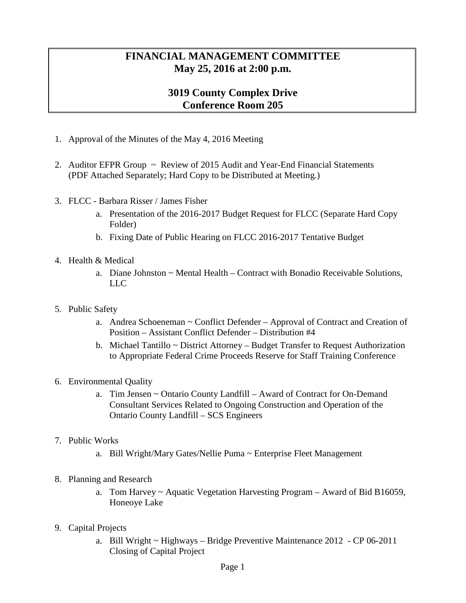## **FINANCIAL MANAGEMENT COMMITTEE May 25, 2016 at 2:00 p.m.**

## **3019 County Complex Drive Conference Room 205**

- 1. Approval of the Minutes of the May 4, 2016 Meeting
- 2. Auditor EFPR Group ~ Review of 2015 Audit and Year-End Financial Statements (PDF Attached Separately; Hard Copy to be Distributed at Meeting.)
- 3. FLCC Barbara Risser / James Fisher
	- a. Presentation of the 2016-2017 Budget Request for FLCC (Separate Hard Copy Folder)
	- b. Fixing Date of Public Hearing on FLCC 2016-2017 Tentative Budget
- 4. Health & Medical
	- a. Diane Johnston  $\sim$  Mental Health Contract with Bonadio Receivable Solutions, LLC
- 5. Public Safety
	- a. Andrea Schoeneman ~ Conflict Defender Approval of Contract and Creation of Position – Assistant Conflict Defender – Distribution #4
	- b. Michael Tantillo ~ District Attorney Budget Transfer to Request Authorization to Appropriate Federal Crime Proceeds Reserve for Staff Training Conference
- 6. Environmental Quality
	- a. Tim Jensen ~ Ontario County Landfill Award of Contract for On-Demand Consultant Services Related to Ongoing Construction and Operation of the Ontario County Landfill – SCS Engineers
- 7. Public Works
	- a. Bill Wright/Mary Gates/Nellie Puma ~ Enterprise Fleet Management
- 8. Planning and Research
	- a. Tom Harvey ~ Aquatic Vegetation Harvesting Program Award of Bid B16059, Honeoye Lake
- 9. Capital Projects
	- a. Bill Wright  $\sim$  Highways Bridge Preventive Maintenance 2012 CP 06-2011 Closing of Capital Project